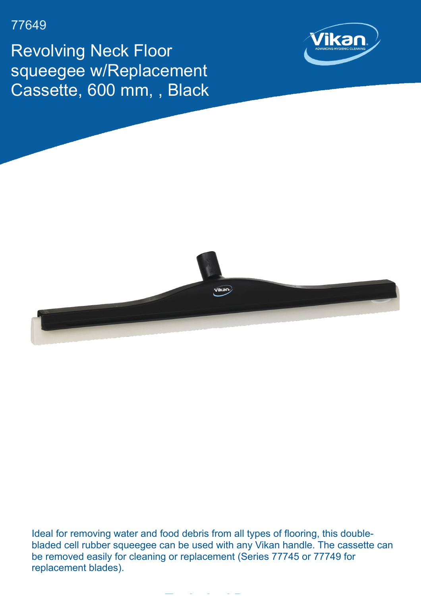## 77649

Revolving Neck Floor squeegee w/Replacement Cassette, 600 mm, , Black





Ideal for removing water and food debris from all types of flooring, this doublebladed cell rubber squeegee can be used with any Vikan handle. The cassette can be removed easily for cleaning or replacement (Series 77745 or 77749 for replacement blades).

**Technical Data**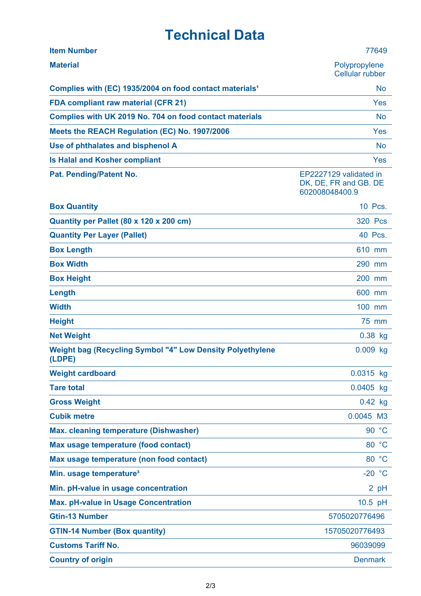## **Technical Data**

| <b>Item Number</b>                                                         | 77649                                                             |
|----------------------------------------------------------------------------|-------------------------------------------------------------------|
| <b>Material</b>                                                            | Polypropylene<br><b>Cellular rubber</b>                           |
| Complies with (EC) 1935/2004 on food contact materials <sup>1</sup>        | <b>No</b>                                                         |
| <b>FDA compliant raw material (CFR 21)</b>                                 | Yes                                                               |
| Complies with UK 2019 No. 704 on food contact materials                    | <b>No</b>                                                         |
| Meets the REACH Regulation (EC) No. 1907/2006                              | Yes                                                               |
| Use of phthalates and bisphenol A                                          | <b>No</b>                                                         |
| <b>Is Halal and Kosher compliant</b>                                       | Yes                                                               |
| Pat. Pending/Patent No.                                                    | EP2227129 validated in<br>DK, DE, FR and GB. DE<br>602008048400.9 |
| <b>Box Quantity</b>                                                        | 10 Pcs.                                                           |
| Quantity per Pallet (80 x 120 x 200 cm)                                    | <b>320 Pcs</b>                                                    |
| <b>Quantity Per Layer (Pallet)</b>                                         | 40 Pcs.                                                           |
| <b>Box Length</b>                                                          | 610 mm                                                            |
| <b>Box Width</b>                                                           | 290 mm                                                            |
| <b>Box Height</b>                                                          | 200 mm                                                            |
| Length                                                                     | 600 mm                                                            |
| <b>Width</b>                                                               | 100 mm                                                            |
| <b>Height</b>                                                              | 75 mm                                                             |
| <b>Net Weight</b>                                                          | $0.38$ kg                                                         |
| <b>Weight bag (Recycling Symbol "4" Low Density Polyethylene</b><br>(LDPE) | $0.009$ kg                                                        |
| <b>Weight cardboard</b>                                                    | 0.0315 kg                                                         |
| <b>Tare total</b>                                                          | 0.0405 kg                                                         |
| <b>Gross Weight</b>                                                        | $0.42$ kg                                                         |
| <b>Cubik metre</b>                                                         | 0.0045 M3                                                         |
| <b>Max. cleaning temperature (Dishwasher)</b>                              | 90 °C                                                             |
| Max usage temperature (food contact)                                       | 80 °C                                                             |
| Max usage temperature (non food contact)                                   | 80 °C                                                             |
| Min. usage temperature <sup>3</sup>                                        | $-20 °C$                                                          |
| Min. pH-value in usage concentration                                       | 2 pH                                                              |
| <b>Max. pH-value in Usage Concentration</b>                                | 10.5 pH                                                           |
| <b>Gtin-13 Number</b>                                                      | 5705020776496                                                     |
| <b>GTIN-14 Number (Box quantity)</b>                                       | 15705020776493                                                    |
| <b>Customs Tariff No.</b>                                                  | 96039099                                                          |
| <b>Country of origin</b>                                                   | <b>Denmark</b>                                                    |